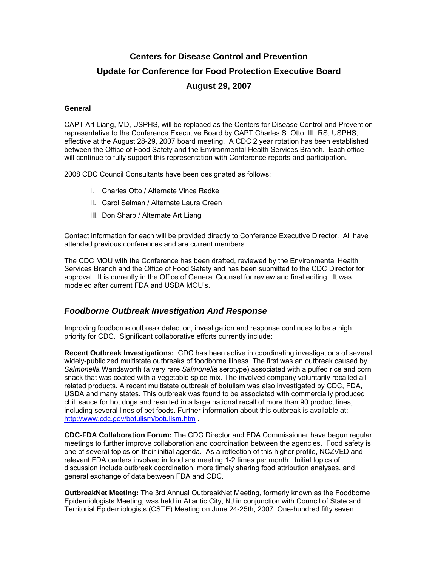# **Centers for Disease Control and Prevention Update for Conference for Food Protection Executive Board August 29, 2007**

#### **General**

CAPT Art Liang, MD, USPHS, will be replaced as the Centers for Disease Control and Prevention representative to the Conference Executive Board by CAPT Charles S. Otto, III, RS, USPHS, effective at the August 28-29, 2007 board meeting. A CDC 2 year rotation has been established between the Office of Food Safety and the Environmental Health Services Branch. Each office will continue to fully support this representation with Conference reports and participation.

2008 CDC Council Consultants have been designated as follows:

- I. Charles Otto / Alternate Vince Radke
- II. Carol Selman / Alternate Laura Green
- III. Don Sharp / Alternate Art Liang

Contact information for each will be provided directly to Conference Executive Director. All have attended previous conferences and are current members.

The CDC MOU with the Conference has been drafted, reviewed by the Environmental Health Services Branch and the Office of Food Safety and has been submitted to the CDC Director for approval. It is currently in the Office of General Counsel for review and final editing. It was modeled after current FDA and USDA MOU's.

## *Foodborne Outbreak Investigation And Response*

Improving foodborne outbreak detection, investigation and response continues to be a high priority for CDC. Significant collaborative efforts currently include:

**Recent Outbreak Investigations:** CDC has been active in coordinating investigations of several widely-publicized multistate outbreaks of foodborne illness. The first was an outbreak caused by *Salmonella* Wandsworth (a very rare *Salmonella* serotype) associated with a puffed rice and corn snack that was coated with a vegetable spice mix. The involved company voluntarily recalled all related products. A recent multistate outbreak of botulism was also investigated by CDC, FDA, USDA and many states. This outbreak was found to be associated with commercially produced chili sauce for hot dogs and resulted in a large national recall of more than 90 product lines, including several lines of pet foods. Further information about this outbreak is available at: http://www.cdc.gov/botulism/botulism.htm .

**CDC-FDA Collaboration Forum:** The CDC Director and FDA Commissioner have begun regular meetings to further improve collaboration and coordination between the agencies. Food safety is one of several topics on their initial agenda. As a reflection of this higher profile, NCZVED and relevant FDA centers involved in food are meeting 1-2 times per month. Initial topics of discussion include outbreak coordination, more timely sharing food attribution analyses, and general exchange of data between FDA and CDC.

**OutbreakNet Meeting:** The 3rd Annual OutbreakNet Meeting, formerly known as the Foodborne Epidemiologists Meeting, was held in Atlantic City, NJ in conjunction with Council of State and Territorial Epidemiologists (CSTE) Meeting on June 24-25th, 2007. One-hundred fifty seven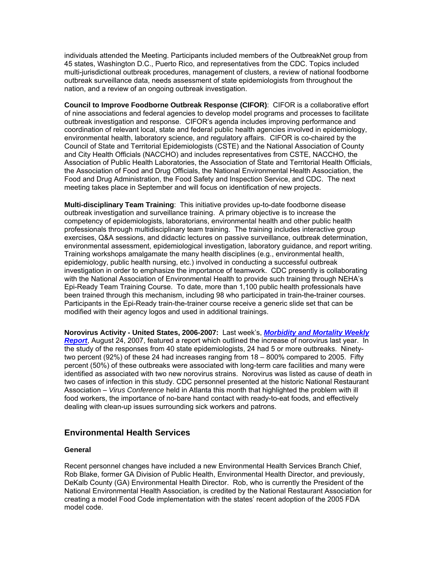individuals attended the Meeting. Participants included members of the OutbreakNet group from 45 states, Washington D.C., Puerto Rico, and representatives from the CDC. Topics included multi-jurisdictional outbreak procedures, management of clusters, a review of national foodborne outbreak surveillance data, needs assessment of state epidemiologists from throughout the nation, and a review of an ongoing outbreak investigation.

**Council to Improve Foodborne Outbreak Response (CIFOR)**: CIFOR is a collaborative effort of nine associations and federal agencies to develop model programs and processes to facilitate outbreak investigation and response. CIFOR's agenda includes improving performance and coordination of relevant local, state and federal public health agencies involved in epidemiology, environmental health, laboratory science, and regulatory affairs. CIFOR is co-chaired by the Council of State and Territorial Epidemiologists (CSTE) and the National Association of County and City Health Officials (NACCHO) and includes representatives from CSTE, NACCHO, the Association of Public Health Laboratories, the Association of State and Territorial Health Officials, the Association of Food and Drug Officials, the National Environmental Health Association, the Food and Drug Administration, the Food Safety and Inspection Service, and CDC. The next meeting takes place in September and will focus on identification of new projects.

**Multi-disciplinary Team Training**: This initiative provides up-to-date foodborne disease outbreak investigation and surveillance training. A primary objective is to increase the competency of epidemiologists, laboratorians, environmental health and other public health professionals through multidisciplinary team training. The training includes interactive group exercises, Q&A sessions, and didactic lectures on passive surveillance, outbreak determination, environmental assessment, epidemiological investigation, laboratory guidance, and report writing. Training workshops amalgamate the many health disciplines (e.g., environmental health, epidemiology, public health nursing, etc.) involved in conducting a successful outbreak investigation in order to emphasize the importance of teamwork. CDC presently is collaborating with the National Association of Environmental Health to provide such training through NEHA's Epi-Ready Team Training Course. To date, more than 1,100 public health professionals have been trained through this mechanism, including 98 who participated in train-the-trainer courses. Participants in the Epi-Ready train-the-trainer course receive a generic slide set that can be modified with their agency logos and used in additional trainings.

**Norovirus Activity - United States, 2006-2007:** Last week's, *Morbidity and Mortality Weekly Report*, August 24, 2007, featured a report which outlined the increase of norovirus last year. In the study of the responses from 40 state epidemiologists, 24 had 5 or more outbreaks. Ninetytwo percent (92%) of these 24 had increases ranging from 18 – 800% compared to 2005. Fifty percent (50%) of these outbreaks were associated with long-term care facilities and many were identified as associated with two new norovirus strains. Norovirus was listed as cause of death in two cases of infection in this study. CDC personnel presented at the historic National Restaurant Association – *Virus Conference* held in Atlanta this month that highlighted the problem with ill food workers, the importance of no-bare hand contact with ready-to-eat foods, and effectively dealing with clean-up issues surrounding sick workers and patrons.

# **Environmental Health Services**

#### **General**

Recent personnel changes have included a new Environmental Health Services Branch Chief, Rob Blake, former GA Division of Public Health, Environmental Health Director, and previously, DeKalb County (GA) Environmental Health Director. Rob, who is currently the President of the National Environmental Health Association, is credited by the National Restaurant Association for creating a model Food Code implementation with the states' recent adoption of the 2005 FDA model code.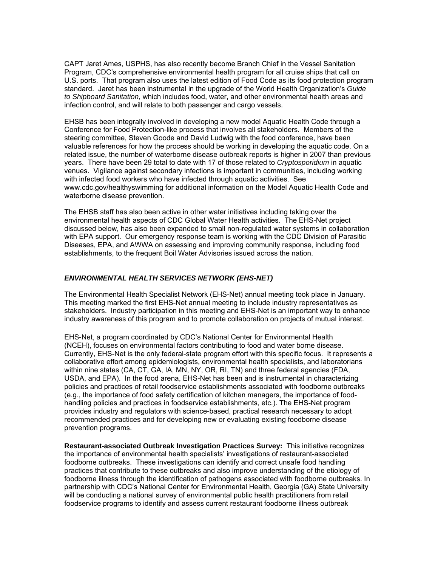CAPT Jaret Ames, USPHS, has also recently become Branch Chief in the Vessel Sanitation Program, CDC's comprehensive environmental health program for all cruise ships that call on U.S. ports. That program also uses the latest edition of Food Code as its food protection program standard. Jaret has been instrumental in the upgrade of the World Health Organization's *Guide to Shipboard Sanitation*, which includes food, water, and other environmental health areas and infection control, and will relate to both passenger and cargo vessels.

EHSB has been integrally involved in developing a new model Aquatic Health Code through a Conference for Food Protection-like process that involves all stakeholders. Members of the steering committee, Steven Goode and David Ludwig with the food conference, have been valuable references for how the process should be working in developing the aquatic code. On a related issue, the number of waterborne disease outbreak reports is higher in 2007 than previous years. There have been 29 total to date with 17 of those related to *Cryptosporidium* in aquatic venues. Vigilance against secondary infections is important in communities, including working with infected food workers who have infected through aquatic activities. See www.cdc.gov/healthyswimming for additional information on the Model Aquatic Health Code and waterborne disease prevention.

The EHSB staff has also been active in other water initiatives including taking over the environmental health aspects of CDC Global Water Health activities. The EHS-Net project discussed below, has also been expanded to small non-regulated water systems in collaboration with EPA support. Our emergency response team is working with the CDC Division of Parasitic Diseases, EPA, and AWWA on assessing and improving community response, including food establishments, to the frequent Boil Water Advisories issued across the nation.

#### *ENVIRONMENTAL HEALTH SERVICES NETWORK (EHS-NET)*

The Environmental Health Specialist Network (EHS-Net) annual meeting took place in January. This meeting marked the first EHS-Net annual meeting to include industry representatives as stakeholders. Industry participation in this meeting and EHS-Net is an important way to enhance industry awareness of this program and to promote collaboration on projects of mutual interest.

EHS-Net, a program coordinated by CDC's National Center for Environmental Health (NCEH), focuses on environmental factors contributing to food and water borne disease. Currently, EHS-Net is the only federal-state program effort with this specific focus. It represents a collaborative effort among epidemiologists, environmental health specialists, and laboratorians within nine states (CA, CT, GA, IA, MN, NY, OR, RI, TN) and three federal agencies (FDA, USDA, and EPA). In the food arena, EHS-Net has been and is instrumental in characterizing policies and practices of retail foodservice establishments associated with foodborne outbreaks (e.g., the importance of food safety certification of kitchen managers, the importance of foodhandling policies and practices in foodservice establishments, etc.). The EHS-Net program provides industry and regulators with science-based, practical research necessary to adopt recommended practices and for developing new or evaluating existing foodborne disease prevention programs.

**Restaurant-associated Outbreak Investigation Practices Survey:** This initiative recognizes the importance of environmental health specialists' investigations of restaurant-associated foodborne outbreaks. These investigations can identify and correct unsafe food handling practices that contribute to these outbreaks and also improve understanding of the etiology of foodborne illness through the identification of pathogens associated with foodborne outbreaks. In partnership with CDC's National Center for Environmental Health, Georgia (GA) State University will be conducting a national survey of environmental public health practitioners from retail foodservice programs to identify and assess current restaurant foodborne illness outbreak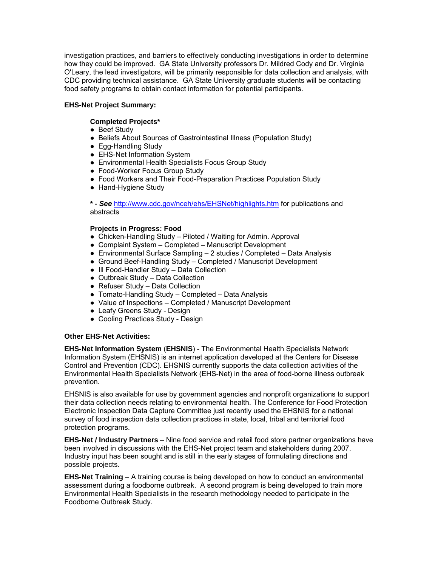investigation practices, and barriers to effectively conducting investigations in order to determine how they could be improved. GA State University professors Dr. Mildred Cody and Dr. Virginia O'Leary, the lead investigators, will be primarily responsible for data collection and analysis, with CDC providing technical assistance. GA State University graduate students will be contacting food safety programs to obtain contact information for potential participants.

## **EHS-Net Project Summary:**

### **Completed Projects\***

- Beef Study
- Beliefs About Sources of Gastrointestinal Illness (Population Study)
- Egg-Handling Study
- EHS-Net Information System
- Environmental Health Specialists Focus Group Study
- Food-Worker Focus Group Study
- Food Workers and Their Food-Preparation Practices Population Study
- Hand-Hygiene Study

**\* -** *See* http://www.cdc.gov/nceh/ehs/EHSNet/highlights.htm for publications and abstracts

#### **Projects in Progress: Food**

- Chicken-Handling Study Piloted / Waiting for Admin. Approval
- Complaint System Completed Manuscript Development
- Environmental Surface Sampling 2 studies / Completed Data Analysis
- Ground Beef-Handling Study Completed / Manuscript Development
- Ill Food-Handler Study Data Collection
- Outbreak Study Data Collection
- Refuser Study Data Collection
- Tomato-Handling Study Completed Data Analysis
- Value of Inspections Completed / Manuscript Development
- Leafy Greens Study Design
- Cooling Practices Study Design

#### **Other EHS-Net Activities:**

**EHS-Net Information System** (**EHSNIS**) - The Environmental Health Specialists Network Information System (EHSNIS) is an internet application developed at the Centers for Disease Control and Prevention (CDC). EHSNIS currently supports the data collection activities of the Environmental Health Specialists Network (EHS-Net) in the area of food-borne illness outbreak prevention.

EHSNIS is also available for use by government agencies and nonprofit organizations to support their data collection needs relating to environmental health. The Conference for Food Protection Electronic Inspection Data Capture Committee just recently used the EHSNIS for a national survey of food inspection data collection practices in state, local, tribal and territorial food protection programs.

**EHS-Net / Industry Partners** – Nine food service and retail food store partner organizations have been involved in discussions with the EHS-Net project team and stakeholders during 2007. Industry input has been sought and is still in the early stages of formulating directions and possible projects.

**EHS-Net Training** – A training course is being developed on how to conduct an environmental assessment during a foodborne outbreak. A second program is being developed to train more Environmental Health Specialists in the research methodology needed to participate in the Foodborne Outbreak Study.